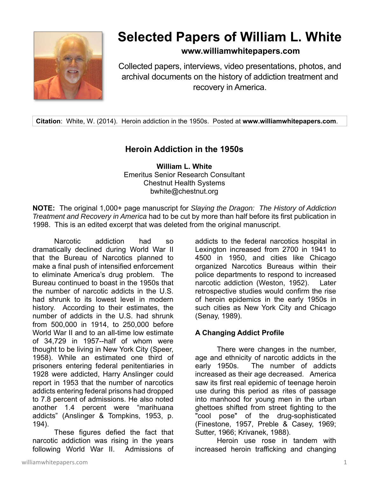

# **Selected Papers of William L. White**

## **www.williamwhitepapers.com**

Collected papers, interviews, video presentations, photos, and archival documents on the history of addiction treatment and recovery in America.

**Citation**: White, W. (2014). Heroin addiction in the 1950s. Posted at **www.williamwhitepapers.com**.

## **Heroin Addiction in the 1950s**

**William L. White**  Emeritus Senior Research Consultant Chestnut Health Systems bwhite@chestnut.org

**NOTE:** The original 1,000+ page manuscript for *Slaying the Dragon: The History of Addiction Treatment and Recovery in America* had to be cut by more than half before its first publication in 1998. This is an edited excerpt that was deleted from the original manuscript.

Narcotic addiction had so dramatically declined during World War II that the Bureau of Narcotics planned to make a final push of intensified enforcement to eliminate America's drug problem. The Bureau continued to boast in the 1950s that the number of narcotic addicts in the U.S. had shrunk to its lowest level in modern history. According to their estimates, the number of addicts in the U.S. had shrunk from 500,000 in 1914, to 250,000 before World War II and to an all-time low estimate of 34,729 in 1957--half of whom were thought to be living in New York City (Speer, 1958). While an estimated one third of prisoners entering federal penitentiaries in 1928 were addicted, Harry Anslinger could report in 1953 that the number of narcotics addicts entering federal prisons had dropped to 7.8 percent of admissions. He also noted another 1.4 percent were "marihuana addicts" (Anslinger & Tompkins, 1953, p. 194).

 These figures defied the fact that narcotic addiction was rising in the years following World War II. Admissions of

addicts to the federal narcotics hospital in Lexington increased from 2700 in 1941 to 4500 in 1950, and cities like Chicago organized Narcotics Bureaus within their police departments to respond to increased narcotic addiction (Weston, 1952). Later retrospective studies would confirm the rise of heroin epidemics in the early 1950s in such cities as New York City and Chicago (Senay, 1989).

### **A Changing Addict Profile**

 There were changes in the number, age and ethnicity of narcotic addicts in the early 1950s. The number of addicts increased as their age decreased. America saw its first real epidemic of teenage heroin use during this period as rites of passage into manhood for young men in the urban ghettoes shifted from street fighting to the "cool pose" of the drug-sophisticated (Finestone, 1957, Preble & Casey, 1969; Sutter, 1966; Krivanek, 1988).

 Heroin use rose in tandem with increased heroin trafficking and changing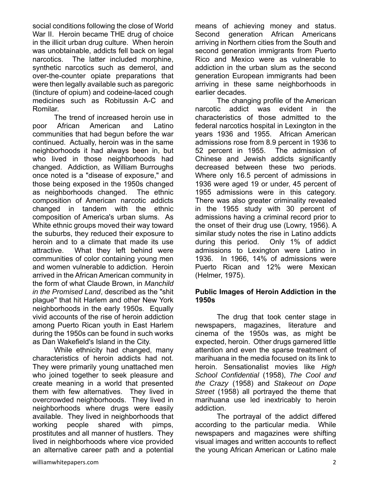social conditions following the close of World War II. Heroin became THE drug of choice in the illicit urban drug culture. When heroin was unobtainable, addicts fell back on legal narcotics. The latter included morphine, synthetic narcotics such as demerol, and over-the-counter opiate preparations that were then legally available such as paregoric (tincture of opium) and codeine-laced cough medicines such as Robitussin A-C and Romilar.

 The trend of increased heroin use in poor African American and Latino communities that had begun before the war continued. Actually, heroin was in the same neighborhoods it had always been in, but who lived in those neighborhoods had changed. Addiction, as William Burroughs once noted is a "disease of exposure," and those being exposed in the 1950s changed as neighborhoods changed. The ethnic composition of American narcotic addicts changed in tandem with the ethnic composition of America's urban slums. As White ethnic groups moved their way toward the suburbs, they reduced their exposure to heroin and to a climate that made its use attractive. What they left behind were communities of color containing young men and women vulnerable to addiction. Heroin arrived in the African American community in the form of what Claude Brown, in *Manchild in the Promised Land*, described as the "shit plague" that hit Harlem and other New York neighborhoods in the early 1950s. Equally vivid accounts of the rise of heroin addiction among Puerto Rican youth in East Harlem during the 1950s can be found in such works as Dan Wakefield's Island in the City.

 While ethnicity had changed, many characteristics of heroin addicts had not. They were primarily young unattached men who joined together to seek pleasure and create meaning in a world that presented them with few alternatives. They lived in overcrowded neighborhoods. They lived in neighborhoods where drugs were easily available. They lived in neighborhoods that working people shared with pimps, prostitutes and all manner of hustlers. They lived in neighborhoods where vice provided an alternative career path and a potential means of achieving money and status. Second generation African Americans arriving in Northern cities from the South and second generation immigrants from Puerto Rico and Mexico were as vulnerable to addiction in the urban slum as the second generation European immigrants had been arriving in these same neighborhoods in earlier decades.

 The changing profile of the American narcotic addict was evident in the characteristics of those admitted to the federal narcotics hospital in Lexington in the years 1936 and 1955. African American admissions rose from 8.9 percent in 1936 to 52 percent in 1955. The admission of Chinese and Jewish addicts significantly decreased between these two periods. Where only 16.5 percent of admissions in 1936 were aged 19 or under, 45 percent of 1955 admissions were in this category. There was also greater criminality revealed in the 1955 study with 30 percent of admissions having a criminal record prior to the onset of their drug use (Lowry, 1956). A similar study notes the rise in Latino addicts during this period. Only 1% of addict admissions to Lexington were Latino in 1936. In 1966, 14% of admissions were Puerto Rican and 12% were Mexican (Helmer, 1975).

#### **Public Images of Heroin Addiction in the 1950s**

 The drug that took center stage in newspapers, magazines, literature and cinema of the 1950s was, as might be expected, heroin. Other drugs garnered little attention and even the sparse treatment of marihuana in the media focused on its link to heroin. Sensationalist movies like *High School Confidential* (1958), *The Cool and the Crazy* (1958) and *Stakeout on Dope Street* (1958) all portrayed the theme that marihuana use led inextricably to heroin addiction.

 The portrayal of the addict differed according to the particular media. While newspapers and magazines were shifting visual images and written accounts to reflect the young African American or Latino male